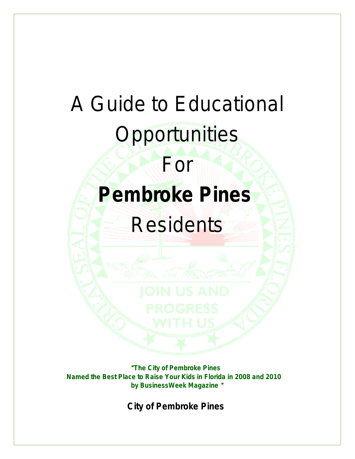# A Guide to Educational

# **Opportunities**

For

# *Pembroke Pines* **Residents**

"*The City of Pembroke Pines Named the Best Place to Raise Your Kids in Florida in 2008 and 2010 by BusinessWeek Magazine* "

*City of Pembroke Pines*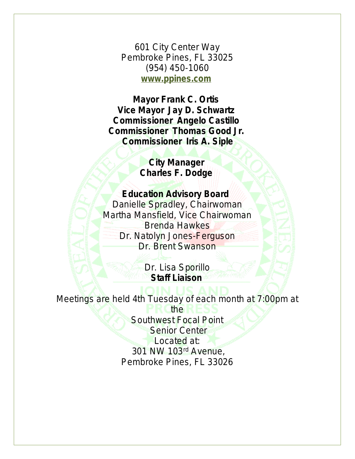601 City Center Way Pembroke Pines, FL 33025 (954) 450-1060 **[www.ppines.com](http://www.ppines.com)**

**Mayor Frank C. Ortis Vice Mayor Jay D. Schwartz Commissioner Angelo Castillo Commissioner Thomas Good Jr. Commissioner Iris A. Siple**

> **City Manager Charles F. Dodge**

## **Education Advisory Board**

Danielle Spradley, Chairwoman Martha Mansfield, Vice Chairwoman Brenda Hawkes Dr. Natolyn Jones-Ferguson Dr. Brent Swanson

> Dr. Lisa Sporillo **Staff Liaison**

## Meetings are held 4th Tuesday of each month at 7:00pm at the

Southwest Focal Point **Senior Center** Located at: 301 NW 103rd Avenue, Pembroke Pines, FL 33026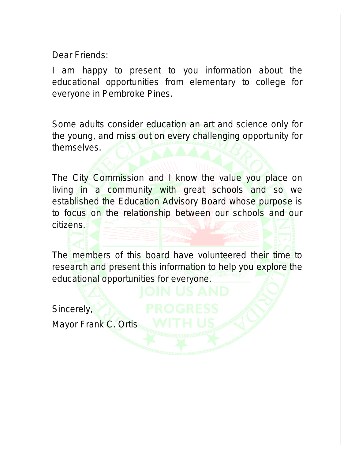Dear Friends:

I am happy to present to you information about the educational opportunities from elementary to college for everyone in Pembroke Pines.

Some adults consider education an art and science only for the young, and miss out on every challenging opportunity for themselves.

The City Commission and I know the value you place on living in a community with great schools and so we established the Education Advisory Board whose purpose is to focus on the relationship between our schools and our citizens.

The members of this board have volunteered their time to research and present this information to help you explore the educational opportunities for everyone.

Sincerely,

Mayor Frank C. Ortis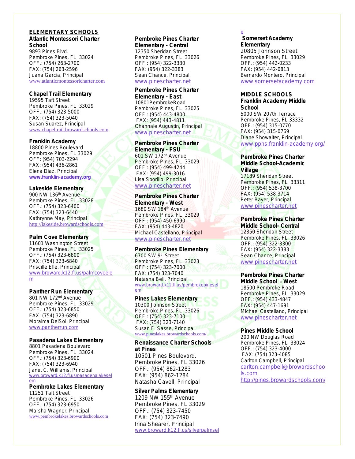#### *ELEMENTARY SCHOOLS* **Atlantic Montessori Charter School**

9893 Pines Blvd. Pembroke Pines, FL 33024 OFF.: (754) 263-2700 FAX: (754) 263-2596 Juana Garcia, Principal [www.atlanticmontessoricharter.com](mailto:director.amcharterschool@gmail.com)

## **Chapel Trail Elementary**

19595 Taft Street Pembroke Pines, FL 33029 OFF.: (754) 323-5000 FAX: (754) 323-5040 Susan Suarez, Principal [www.chapeltrail.browardschools.com](http://www.chapeltrail.browardschools.com)

## **Franklin Academy**

18800 Pines Boulevard Pembroke Pines, FL 33029 OFF: (954) 703-2294 FAX: (954) 436-2861 Elena Diaz, Principal **[www.franklin-academy.org](http://www.franklin-academy.org)**

## **Lakeside Elementary**

900 NW 136th Avenue Pembroke Pines, FL 33028 OFF.: (754) 323-6400 FAX: (754) 323-6440 Kathrynne May, Principal <http://lakeside.browardschools.com>

## **Palm Cove Elementary**

11601 Washington Street Pembroke Pines, FL 33025 OFF.: (754) 323-6800 FAX: (754) 323-6840 Priscille Elle, Principal [www.broward.k12.fl.us/palmcoveele](http://www.broward.k12.fl.us/palmcoveelem) m

## **Panther Run Elementary**

801 NW 172<sup>nd</sup> Avenue Pembroke Pines, FL 33029 OFF.: (754) 323-6850 FAX: (754) 323-6890 Moraima DelSol, Principal [www.pantherrun.com](http://www.pantherrun.com)

### **Pasadena Lakes Elementary**

8801 Pasadena Boulevard Pembroke Pines, FL 33024 OFF.: (754) 323-6900 FAX: (754) 323-6940 Janet C. Williams, Principal [www.broward.k12.fl.us/pasadenalakesel](http://www.broward.k12.fl.us/pasadenalakeselem/) em

### **Pembroke Lakes Elementary**

11251 Taft Street Pembroke Pines, FL 33026 OFF.: (754) 323-6950 Marsha Wagner, Principal [www.pembrokelakes.browardschools.com](http://www.pembrokelakes.browardschools.com)

## **Pembroke Pines Charter**

**Elementary - Central** 12350 Sheridan Street Pembroke Pines, FL 33026 OFF.: (954) 322-3330 FAX: (954) 322-3383 Sean Chance, Principal [www.pinescharter.net](http://www.pinescharter.net)

## **Pembroke Pines Charter Elementary - East**

10801PembrokeRoad Pembroke Pines, FL 33025 OFF.: (954) 443-4800 FAX: (954) 443-4811 Channale Augustin, Principal [www.pinescharter.net](http://www.pinescharter.net)

## **Pembroke Pines Charter Elementary - FSU**

601 SW 172nd Avenue Pembroke Pines, FL 33029 OFF.: (954) 499-4244 FAX: (954) 499-3016 Lisa Sporillo, Principal [www.pinescharter.net](http://www.pinescharter.net)

## **Pembroke Pines Charter Elementary - West**

1680 SW 184th Avenue Pembroke Pines, FL 33029 OFF.: (954) 450-6990 FAX: (954) 443-4820 Michael Castellano, Principal [www.pinescharter.net](http://www.pinescharter.net)

## **Pembroke Pines Elementary**

6700 SW 9th Street Pembroke Pines, FL 33023 OFF.: (754) 323-7000 FAX: (754) 323-7040 Natasha Bell, Principal www.broward.k12.fl.us/pembrokepinese em

## **Pines Lakes Elementary**

10300 Johnson Street Pembroke Pines, FL 33026 OFF.: (754) 323-7100 FAX: (754) 323-7140 Susan F. Sasse, Principal [www.pineslakes.browardschools.com/](http://www.pineslakes.browardschools.com/)

#### **Renaissance Charter Schools at Pines**

10501 Pines Boulevard. Pembroke Pines, FL 33026 OFF.: (954) 862-1283 FAX: (954) 862-1284 Natasha Cavell, Principal

## **Silver Palms Elementary**

1209 NW 155th Avenue Pembroke Pines, FL 33029 OFF.: (754) 323-7450 FAX: (754) 323-7490 Irina Shearer, Principal [www.broward.k12.fl.us/silverpalmsel](http://www.broward.k12.fl.us/silverpalmsele)

## e

**Somerset Academy Elementary** 20805 Johnson Street

Pembroke Pines, FL 33029 OFF.: (954) 442-0233 FAX: (954) 442-0813 Bernardo Montero, Principal [www.somersetacademy.com](http://www.somersetacademy.com)

### **MIDDLE SCHOOLS Franklin Academy Middle School**

5000 SW 207th Terrace Pembroke Pines, FL 33332 OFF.: (954) 315-0770 FAX: (954) 315-0769 Diane Showalter, Principal [www.pphs.franklin-academy.org/](http://www.pphs.franklin-academy.org/)

## **Pembroke Pines Charter Middle School-Academic Village**

17189 Sheridan Street Pembroke Pines, FL 33311 OFF.: (954) 538-3700 FAX: (954) 538-3714 Peter Bayer, Principal [www.pinescharter.net](http://www.pinescharter.net)

## **Pembroke Pines Charter**

**Middle School- Central** 12350 Sheridan Street Pembroke Pines, FL 33026 OFF.: (954) 322-3300 FAX: (954) 322-3383 Sean Chance, Principal [www.pinescharter.net](http://www.pinescharter.net)

## **Pembroke Pines Charter**

**Middle School** – **West** 18500 Pembroke Road Pembroke Pines, FL 33029 OFF.: (954) 433-4847 FAX: (954) 447-1691 Michael Castellano, Principal [www.pinescharter.net](http://www.pinescharter.net)

## **Pines Middle School**

200 NW Douglas Road Pembroke Pines, FL 33024 OFF.: (754) 323-4000 FAX: (754) 323-4085 Carlton Campbell, Principal [carlton.campbell@browardschoo](mailto:carlton.campbell@browardschools.com) ls.com <http://pines.browardschools.com/>